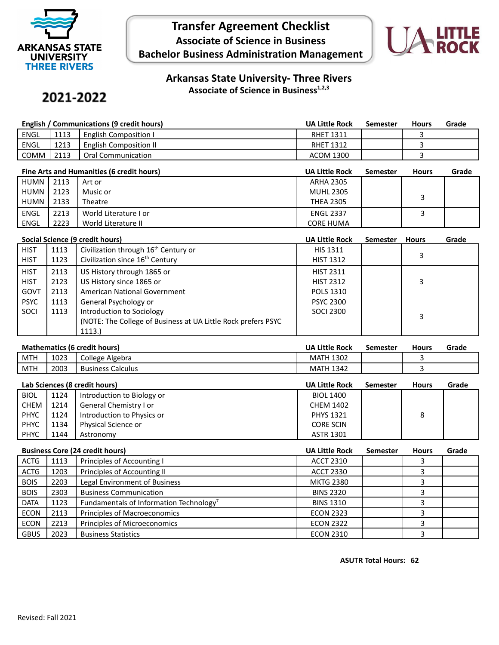

## **Transfer Agreement Checklist Associate of Science in Business Bachelor Business Administration Management**



**Arkansas State University- Three Rivers Associate of Science in Business1,2,3**

## 2021-2022

| English / Communications (9 credit hours) |      |                               | <b>UA Little Rock</b> | Semester | <b>Hours</b> | Grade |
|-------------------------------------------|------|-------------------------------|-----------------------|----------|--------------|-------|
| <b>ENGL</b>                               | 1113 | <b>English Composition I</b>  | <b>RHET 1311</b>      |          |              |       |
| <b>ENGL</b>                               | 1213 | <b>English Composition II</b> | <b>RHET 1312</b>      |          |              |       |
| COMM                                      | 2113 | Oral Communication            | ACOM 1300             |          |              |       |

|             | Fine Arts and Humanities (6 credit hours) |                       |                  | Semester | <b>Hours</b> | Grade |
|-------------|-------------------------------------------|-----------------------|------------------|----------|--------------|-------|
| HUMN        | 2113                                      | Art or                | <b>ARHA 2305</b> |          |              |       |
| HUMN        | 2123                                      | Music or              | <b>MUHL 2305</b> |          |              |       |
| HUMN        | 2133                                      | <b>Theatre</b>        | <b>THEA 2305</b> |          |              |       |
| <b>ENGL</b> | 2213                                      | World Literature I or | <b>ENGL 2337</b> |          |              |       |
| ENGL        | 2223                                      | World Literature II   | <b>CORE HUMA</b> |          |              |       |

|             | Social Science (9 credit hours) |                                                                |                  | <b>Semester</b> | <b>Hours</b> | Grade |
|-------------|---------------------------------|----------------------------------------------------------------|------------------|-----------------|--------------|-------|
| <b>HIST</b> | 1113                            | Civilization through 16 <sup>th</sup> Century or               | <b>HIS 1311</b>  |                 |              |       |
| <b>HIST</b> | 1123                            | Civilization since 16 <sup>th</sup> Century                    | <b>HIST 1312</b> |                 |              |       |
| <b>HIST</b> | 2113                            | US History through 1865 or                                     | <b>HIST 2311</b> |                 |              |       |
| <b>HIST</b> | 2123                            | US History since 1865 or                                       | <b>HIST 2312</b> |                 | 3            |       |
| GOVT        | 2113                            | American National Government                                   | <b>POLS 1310</b> |                 |              |       |
| <b>PSYC</b> | 1113                            | General Psychology or                                          | <b>PSYC 2300</b> |                 |              |       |
| SOCI        | 1113                            | Introduction to Sociology                                      | SOCI 2300        |                 | 3            |       |
|             |                                 | (NOTE: The College of Business at UA Little Rock prefers PSYC) |                  |                 |              |       |
|             |                                 | 1113.                                                          |                  |                 |              |       |

| <b>Mathematics (6 credit hours)</b> |      |                          | <b>UA Little Rock</b> | Semester | <b>Hours</b> | Grade |
|-------------------------------------|------|--------------------------|-----------------------|----------|--------------|-------|
| <b>MTH</b>                          | 1023 | College Algebra          | <b>MATH 1302</b>      |          |              |       |
| <b>MTH</b>                          | 2003 | <b>Business Calculus</b> | <b>MATH 1342</b>      |          |              |       |

| Lab Sciences (8 credit hours) |      | <b>UA Little Rock</b>      | Semester         | <b>Hours</b> | Grade |  |
|-------------------------------|------|----------------------------|------------------|--------------|-------|--|
| <b>BIOL</b>                   | 1124 | Introduction to Biology or | <b>BIOL 1400</b> |              |       |  |
| <b>CHEM</b>                   | 1214 | General Chemistry I or     | <b>CHEM 1402</b> |              |       |  |
| <b>PHYC</b>                   | 1124 | Introduction to Physics or | <b>PHYS 1321</b> |              | 8     |  |
| <b>PHYC</b>                   | 1134 | Physical Science or        | <b>CORE SCIN</b> |              |       |  |
| <b>PHYC</b>                   | 1144 | Astronomy                  | <b>ASTR 1301</b> |              |       |  |

| <b>Business Core (24 credit hours)</b> |      | <b>UA Little Rock</b>                               | <b>Semester</b>  | <b>Hours</b> | Grade |  |
|----------------------------------------|------|-----------------------------------------------------|------------------|--------------|-------|--|
| <b>ACTG</b>                            | 1113 | Principles of Accounting I                          | <b>ACCT 2310</b> |              |       |  |
| <b>ACTG</b>                            | 1203 | Principles of Accounting II                         | <b>ACCT 2330</b> |              |       |  |
| <b>BOIS</b>                            | 2203 | Legal Environment of Business                       | <b>MKTG 2380</b> |              |       |  |
| <b>BOIS</b>                            | 2303 | <b>Business Communication</b>                       | <b>BINS 2320</b> |              |       |  |
| <b>DATA</b>                            | 1123 | Fundamentals of Information Technology <sup>7</sup> | <b>BINS 1310</b> |              |       |  |
| <b>ECON</b>                            | 2113 | Principles of Macroeconomics                        | <b>ECON 2323</b> |              |       |  |
| <b>ECON</b>                            | 2213 | Principles of Microeconomics                        | <b>ECON 2322</b> |              |       |  |
| <b>GBUS</b>                            | 2023 | <b>Business Statistics</b>                          | <b>ECON 2310</b> |              |       |  |

**ASUTR Total Hours: 62**